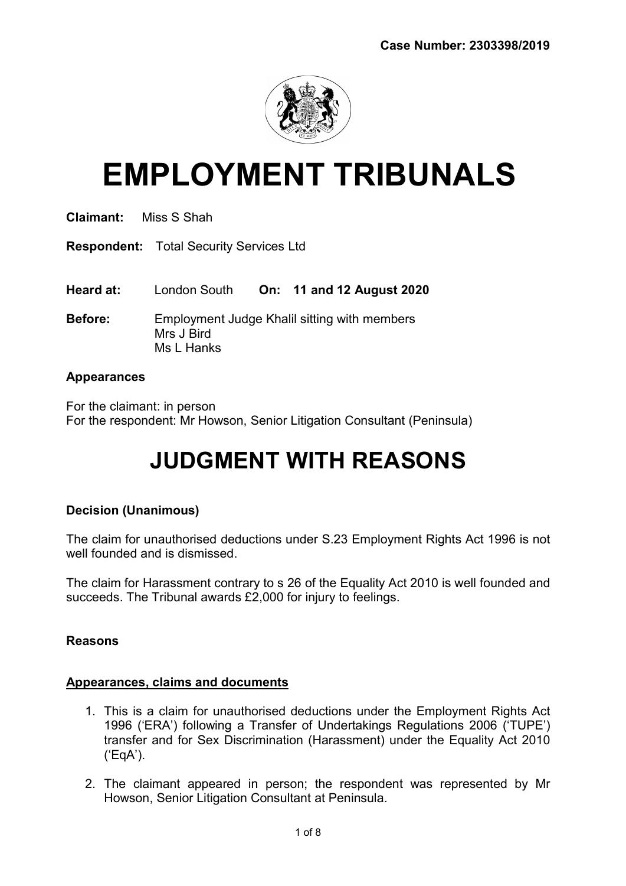

# EMPLOYMENT TRIBUNALS

| <b>Claimant:</b> | Miss S Shah |
|------------------|-------------|
|                  |             |

Respondent: Total Security Services Ltd

Heard at: London South On: 11 and 12 August 2020

Before: Employment Judge Khalil sitting with members Mrs J Bird Ms L Hanks

### Appearances

For the claimant: in person For the respondent: Mr Howson, Senior Litigation Consultant (Peninsula)

# JUDGMENT WITH REASONS

# Decision (Unanimous)

The claim for unauthorised deductions under S.23 Employment Rights Act 1996 is not well founded and is dismissed.

The claim for Harassment contrary to s 26 of the Equality Act 2010 is well founded and succeeds. The Tribunal awards £2,000 for injury to feelings.

# Reasons

# Appearances, claims and documents

- 1. This is a claim for unauthorised deductions under the Employment Rights Act 1996 ('ERA') following a Transfer of Undertakings Regulations 2006 ('TUPE') transfer and for Sex Discrimination (Harassment) under the Equality Act 2010 ('EqA').
- 2. The claimant appeared in person; the respondent was represented by Mr Howson, Senior Litigation Consultant at Peninsula.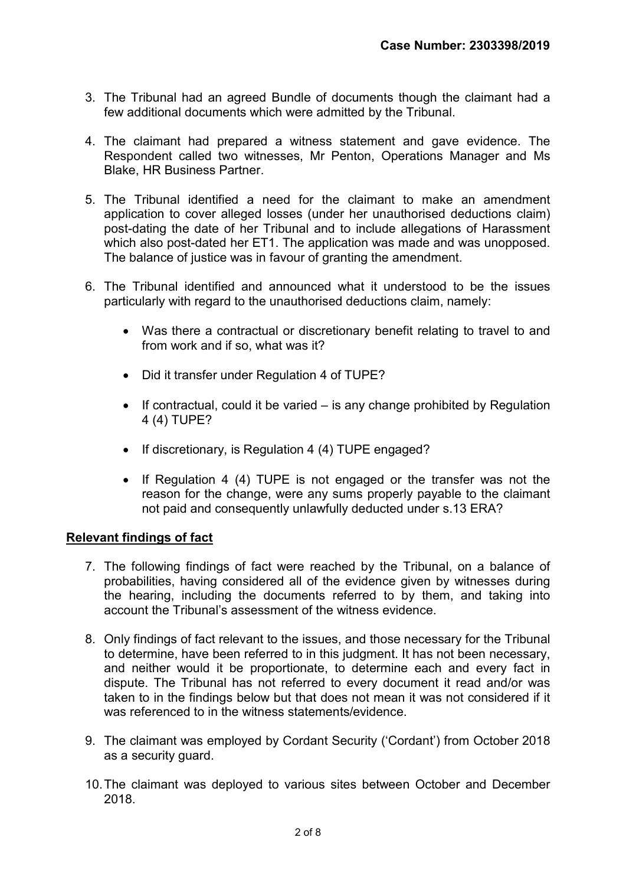- 3. The Tribunal had an agreed Bundle of documents though the claimant had a few additional documents which were admitted by the Tribunal.
- 4. The claimant had prepared a witness statement and gave evidence. The Respondent called two witnesses, Mr Penton, Operations Manager and Ms Blake, HR Business Partner.
- 5. The Tribunal identified a need for the claimant to make an amendment application to cover alleged losses (under her unauthorised deductions claim) post-dating the date of her Tribunal and to include allegations of Harassment which also post-dated her ET1. The application was made and was unopposed. The balance of justice was in favour of granting the amendment.
- 6. The Tribunal identified and announced what it understood to be the issues particularly with regard to the unauthorised deductions claim, namely:
	- Was there a contractual or discretionary benefit relating to travel to and from work and if so, what was it?
	- Did it transfer under Regulation 4 of TUPE?
	- $\bullet$  If contractual, could it be varied  $-$  is any change prohibited by Regulation 4 (4) TUPE?
	- If discretionary, is Regulation 4 (4) TUPE engaged?
	- If Regulation 4 (4) TUPE is not engaged or the transfer was not the reason for the change, were any sums properly payable to the claimant not paid and consequently unlawfully deducted under s.13 ERA?

#### Relevant findings of fact

- 7. The following findings of fact were reached by the Tribunal, on a balance of probabilities, having considered all of the evidence given by witnesses during the hearing, including the documents referred to by them, and taking into account the Tribunal's assessment of the witness evidence.
- 8. Only findings of fact relevant to the issues, and those necessary for the Tribunal to determine, have been referred to in this judgment. It has not been necessary, and neither would it be proportionate, to determine each and every fact in dispute. The Tribunal has not referred to every document it read and/or was taken to in the findings below but that does not mean it was not considered if it was referenced to in the witness statements/evidence
- 9. The claimant was employed by Cordant Security ('Cordant') from October 2018 as a security guard.
- 10. The claimant was deployed to various sites between October and December 2018.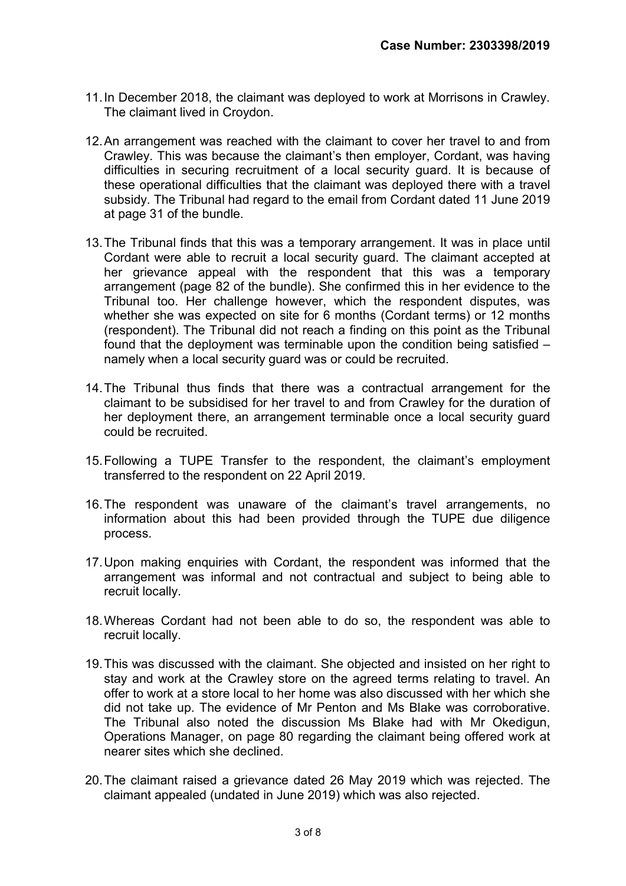- 11. In December 2018, the claimant was deployed to work at Morrisons in Crawley. The claimant lived in Croydon.
- 12. An arrangement was reached with the claimant to cover her travel to and from Crawley. This was because the claimant's then employer, Cordant, was having difficulties in securing recruitment of a local security guard. It is because of these operational difficulties that the claimant was deployed there with a travel subsidy. The Tribunal had regard to the email from Cordant dated 11 June 2019 at page 31 of the bundle.
- 13. The Tribunal finds that this was a temporary arrangement. It was in place until Cordant were able to recruit a local security guard. The claimant accepted at her grievance appeal with the respondent that this was a temporary arrangement (page 82 of the bundle). She confirmed this in her evidence to the Tribunal too. Her challenge however, which the respondent disputes, was whether she was expected on site for 6 months (Cordant terms) or 12 months (respondent). The Tribunal did not reach a finding on this point as the Tribunal found that the deployment was terminable upon the condition being satisfied – namely when a local security guard was or could be recruited.
- 14. The Tribunal thus finds that there was a contractual arrangement for the claimant to be subsidised for her travel to and from Crawley for the duration of her deployment there, an arrangement terminable once a local security guard could be recruited.
- 15. Following a TUPE Transfer to the respondent, the claimant's employment transferred to the respondent on 22 April 2019.
- 16. The respondent was unaware of the claimant's travel arrangements, no information about this had been provided through the TUPE due diligence process.
- 17. Upon making enquiries with Cordant, the respondent was informed that the arrangement was informal and not contractual and subject to being able to recruit locally.
- 18. Whereas Cordant had not been able to do so, the respondent was able to recruit locally.
- 19. This was discussed with the claimant. She objected and insisted on her right to stay and work at the Crawley store on the agreed terms relating to travel. An offer to work at a store local to her home was also discussed with her which she did not take up. The evidence of Mr Penton and Ms Blake was corroborative. The Tribunal also noted the discussion Ms Blake had with Mr Okedigun, Operations Manager, on page 80 regarding the claimant being offered work at nearer sites which she declined.
- 20. The claimant raised a grievance dated 26 May 2019 which was rejected. The claimant appealed (undated in June 2019) which was also rejected.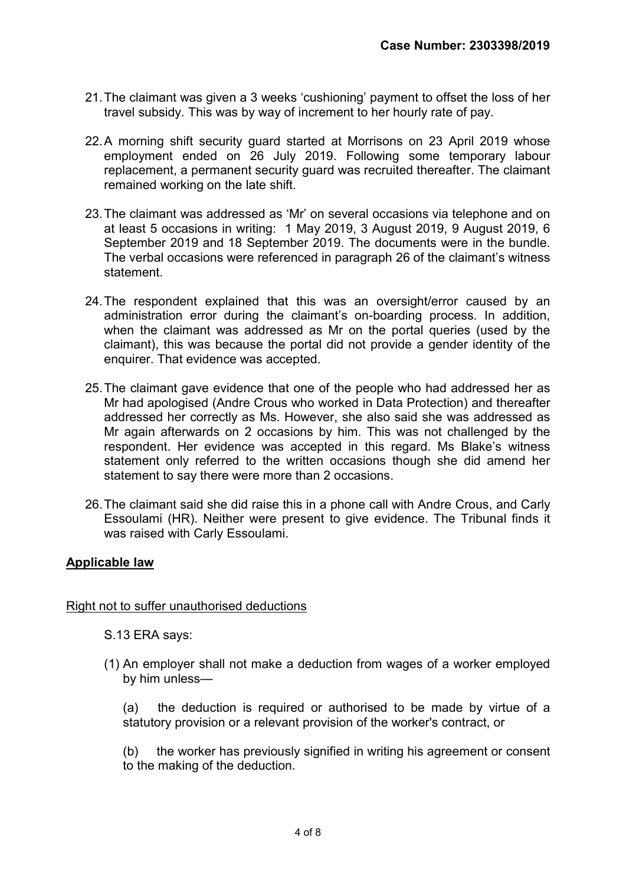- 21. The claimant was given a 3 weeks 'cushioning' payment to offset the loss of her travel subsidy. This was by way of increment to her hourly rate of pay.
- 22. A morning shift security guard started at Morrisons on 23 April 2019 whose employment ended on 26 July 2019. Following some temporary labour replacement, a permanent security guard was recruited thereafter. The claimant remained working on the late shift.
- 23. The claimant was addressed as 'Mr' on several occasions via telephone and on at least 5 occasions in writing: 1 May 2019, 3 August 2019, 9 August 2019, 6 September 2019 and 18 September 2019. The documents were in the bundle. The verbal occasions were referenced in paragraph 26 of the claimant's witness statement.
- 24. The respondent explained that this was an oversight/error caused by an administration error during the claimant's on-boarding process. In addition, when the claimant was addressed as Mr on the portal queries (used by the claimant), this was because the portal did not provide a gender identity of the enquirer. That evidence was accepted.
- 25. The claimant gave evidence that one of the people who had addressed her as Mr had apologised (Andre Crous who worked in Data Protection) and thereafter addressed her correctly as Ms. However, she also said she was addressed as Mr again afterwards on 2 occasions by him. This was not challenged by the respondent. Her evidence was accepted in this regard. Ms Blake's witness statement only referred to the written occasions though she did amend her statement to say there were more than 2 occasions.
- 26. The claimant said she did raise this in a phone call with Andre Crous, and Carly Essoulami (HR). Neither were present to give evidence. The Tribunal finds it was raised with Carly Essoulami.

# Applicable law

#### Right not to suffer unauthorised deductions

S.13 ERA says:

(1) An employer shall not make a deduction from wages of a worker employed by him unless—

(a) the deduction is required or authorised to be made by virtue of a statutory provision or a relevant provision of the worker's contract, or

(b) the worker has previously signified in writing his agreement or consent to the making of the deduction.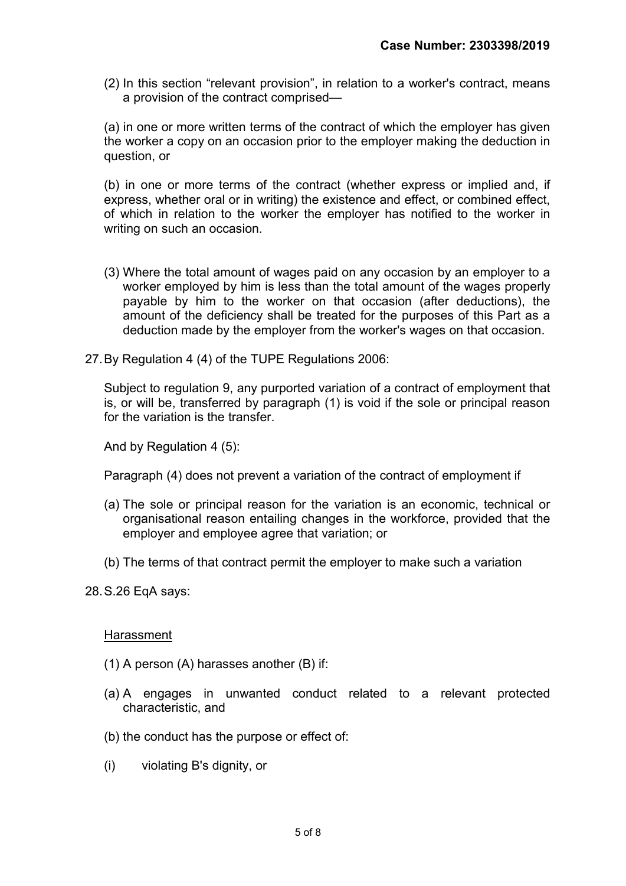(2) In this section "relevant provision", in relation to a worker's contract, means a provision of the contract comprised—

(a) in one or more written terms of the contract of which the employer has given the worker a copy on an occasion prior to the employer making the deduction in question, or

(b) in one or more terms of the contract (whether express or implied and, if express, whether oral or in writing) the existence and effect, or combined effect, of which in relation to the worker the employer has notified to the worker in writing on such an occasion.

- (3) Where the total amount of wages paid on any occasion by an employer to a worker employed by him is less than the total amount of the wages properly payable by him to the worker on that occasion (after deductions), the amount of the deficiency shall be treated for the purposes of this Part as a deduction made by the employer from the worker's wages on that occasion.
- 27. By Regulation 4 (4) of the TUPE Regulations 2006:

Subject to regulation 9, any purported variation of a contract of employment that is, or will be, transferred by paragraph (1) is void if the sole or principal reason for the variation is the transfer.

And by Regulation 4 (5):

Paragraph (4) does not prevent a variation of the contract of employment if

- (a) The sole or principal reason for the variation is an economic, technical or organisational reason entailing changes in the workforce, provided that the employer and employee agree that variation; or
- (b) The terms of that contract permit the employer to make such a variation
- 28. S.26 EqA says:

#### **Harassment**

- (1) A person (A) harasses another (B) if:
- (a) A engages in unwanted conduct related to a relevant protected characteristic, and
- (b) the conduct has the purpose or effect of:
- (i) violating B's dignity, or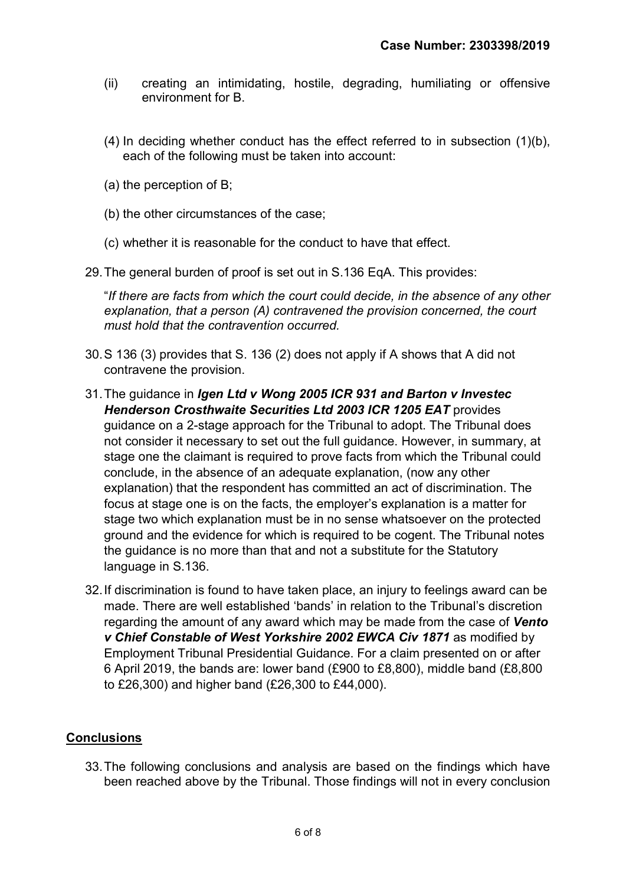- (ii) creating an intimidating, hostile, degrading, humiliating or offensive environment for B.
- $(4)$  In deciding whether conduct has the effect referred to in subsection  $(1)(b)$ , each of the following must be taken into account:
- (a) the perception of B;
- (b) the other circumstances of the case;
- (c) whether it is reasonable for the conduct to have that effect.

29. The general burden of proof is set out in S.136 EqA. This provides:

"If there are facts from which the court could decide, in the absence of any other explanation, that a person (A) contravened the provision concerned, the court must hold that the contravention occurred.

- 30. S 136 (3) provides that S. 136 (2) does not apply if A shows that A did not contravene the provision.
- 31. The guidance in Igen Ltd v Wong 2005 ICR 931 and Barton v Investec Henderson Crosthwaite Securities Ltd 2003 ICR 1205 EAT provides guidance on a 2-stage approach for the Tribunal to adopt. The Tribunal does not consider it necessary to set out the full guidance. However, in summary, at stage one the claimant is required to prove facts from which the Tribunal could conclude, in the absence of an adequate explanation, (now any other explanation) that the respondent has committed an act of discrimination. The focus at stage one is on the facts, the employer's explanation is a matter for stage two which explanation must be in no sense whatsoever on the protected ground and the evidence for which is required to be cogent. The Tribunal notes the guidance is no more than that and not a substitute for the Statutory language in S.136.
- 32. If discrimination is found to have taken place, an injury to feelings award can be made. There are well established 'bands' in relation to the Tribunal's discretion regarding the amount of any award which may be made from the case of Vento v Chief Constable of West Yorkshire 2002 EWCA Civ 1871 as modified by Employment Tribunal Presidential Guidance. For a claim presented on or after 6 April 2019, the bands are: lower band (£900 to £8,800), middle band (£8,800 to £26,300) and higher band (£26,300 to £44,000).

#### **Conclusions**

33. The following conclusions and analysis are based on the findings which have been reached above by the Tribunal. Those findings will not in every conclusion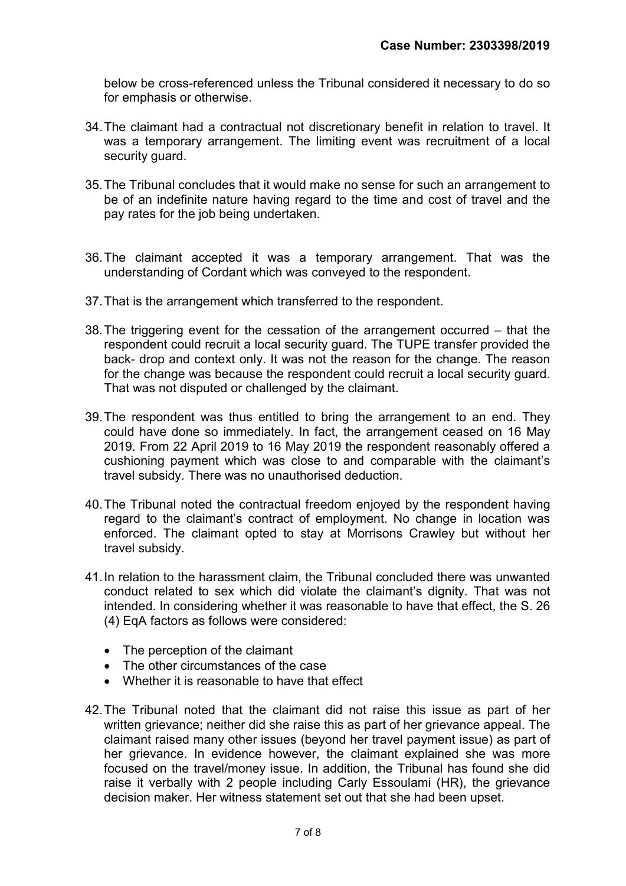below be cross-referenced unless the Tribunal considered it necessary to do so for emphasis or otherwise.

- 34. The claimant had a contractual not discretionary benefit in relation to travel. It was a temporary arrangement. The limiting event was recruitment of a local security guard.
- 35. The Tribunal concludes that it would make no sense for such an arrangement to be of an indefinite nature having regard to the time and cost of travel and the pay rates for the job being undertaken.
- 36. The claimant accepted it was a temporary arrangement. That was the understanding of Cordant which was conveyed to the respondent.
- 37. That is the arrangement which transferred to the respondent.
- 38. The triggering event for the cessation of the arrangement occurred that the respondent could recruit a local security guard. The TUPE transfer provided the back- drop and context only. It was not the reason for the change. The reason for the change was because the respondent could recruit a local security guard. That was not disputed or challenged by the claimant.
- 39. The respondent was thus entitled to bring the arrangement to an end. They could have done so immediately. In fact, the arrangement ceased on 16 May 2019. From 22 April 2019 to 16 May 2019 the respondent reasonably offered a cushioning payment which was close to and comparable with the claimant's travel subsidy. There was no unauthorised deduction.
- 40. The Tribunal noted the contractual freedom enjoyed by the respondent having regard to the claimant's contract of employment. No change in location was enforced. The claimant opted to stay at Morrisons Crawley but without her travel subsidy.
- 41. In relation to the harassment claim, the Tribunal concluded there was unwanted conduct related to sex which did violate the claimant's dignity. That was not intended. In considering whether it was reasonable to have that effect, the S. 26 (4) EqA factors as follows were considered:
	- The perception of the claimant
	- The other circumstances of the case
	- Whether it is reasonable to have that effect
- 42. The Tribunal noted that the claimant did not raise this issue as part of her written grievance; neither did she raise this as part of her grievance appeal. The claimant raised many other issues (beyond her travel payment issue) as part of her grievance. In evidence however, the claimant explained she was more focused on the travel/money issue. In addition, the Tribunal has found she did raise it verbally with 2 people including Carly Essoulami (HR), the grievance decision maker. Her witness statement set out that she had been upset.